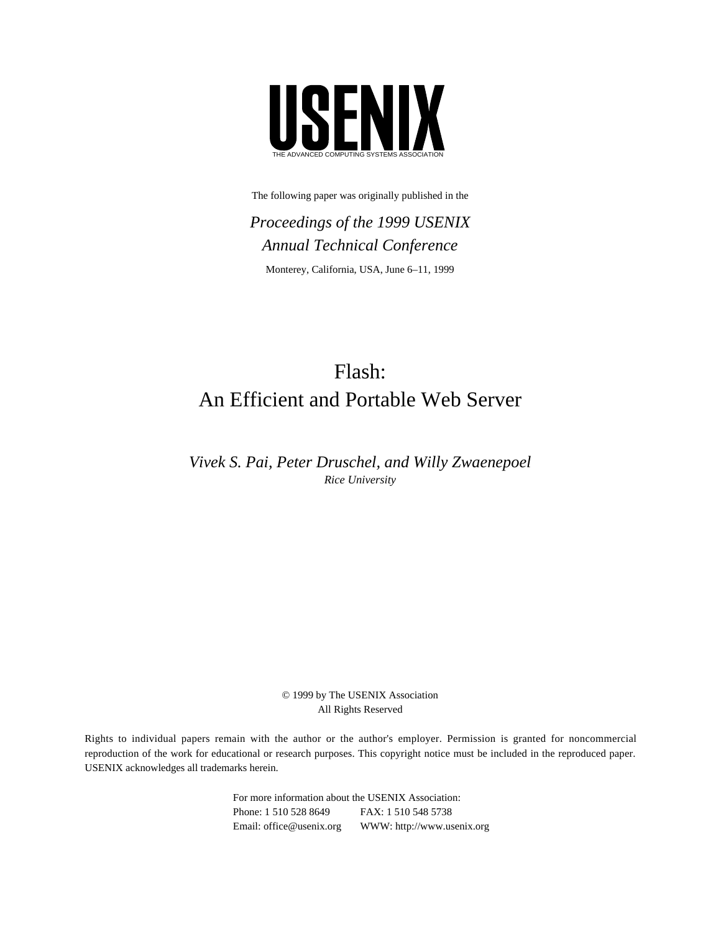

The following paper was originally published in the

*Proceedings of the 1999 USENIX Annual Technical Conference* Monterey, California, USA, June 6–11, 1999

# Flash: An Efficient and Portable Web Server

*Vivek S. Pai, Peter Druschel, and Willy Zwaenepoel Rice University*

> © 1999 by The USENIX Association All Rights Reserved

Rights to individual papers remain with the author or the author's employer. Permission is granted for noncommercial reproduction of the work for educational or research purposes. This copyright notice must be included in the reproduced paper. USENIX acknowledges all trademarks herein.

> For more information about the USENIX Association: Phone: 1 510 528 8649 FAX: 1 510 548 5738 Email: office@usenix.org WWW: http://www.usenix.org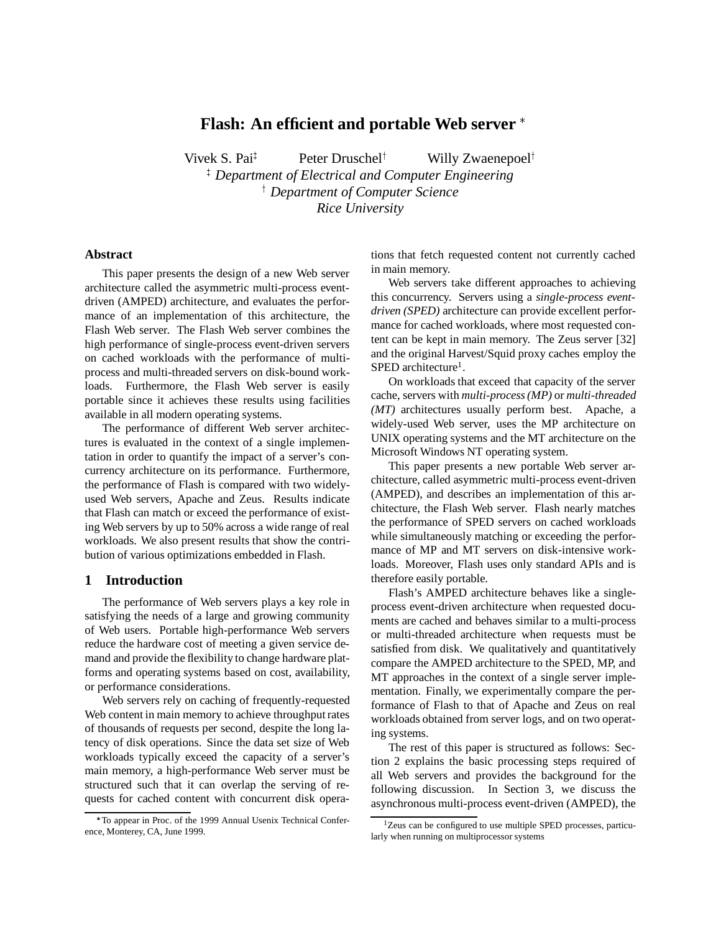## **Flash: An efficient and portable Web server**

Vivek S. Pai<sup>‡</sup> Peter Druschel<sup>†</sup> Willy Zwaenepoel<sup>†</sup> <sup>‡</sup> Department of Electrical and Computer Engineering <sup>†</sup> Department of Computer Science *Rice University*

#### **Abstract**

This paper presents the design of a new Web server architecture called the asymmetric multi-process eventdriven (AMPED) architecture, and evaluates the performance of an implementation of this architecture, the Flash Web server. The Flash Web server combines the high performance of single-process event-driven servers on cached workloads with the performance of multiprocess and multi-threaded servers on disk-bound workloads. Furthermore, the Flash Web server is easily portable since it achieves these results using facilities available in all modern operating systems.

The performance of different Web server architectures is evaluated in the context of a single implementation in order to quantify the impact of a server's concurrency architecture on its performance. Furthermore, the performance of Flash is compared with two widelyused Web servers, Apache and Zeus. Results indicate that Flash can match or exceed the performance of existing Web servers by up to 50% across a wide range of real workloads. We also present results that show the contribution of various optimizations embedded in Flash.

### **1 Introduction**

The performance of Web servers plays a key role in satisfying the needs of a large and growing community of Web users. Portable high-performance Web servers reduce the hardware cost of meeting a given service demand and provide the flexibility to change hardware platforms and operating systems based on cost, availability, or performance considerations.

Web servers rely on caching of frequently-requested Web content in main memory to achieve throughput rates of thousands of requests per second, despite the long latency of disk operations. Since the data set size of Web workloads typically exceed the capacity of a server's main memory, a high-performance Web server must be structured such that it can overlap the serving of requests for cached content with concurrent disk operations that fetch requested content not currently cached in main memory.

Web servers take different approaches to achieving this concurrency. Servers using a *single-process eventdriven (SPED)* architecture can provide excellent performance for cached workloads, where most requested content can be kept in main memory. The Zeus server [32] and the original Harvest/Squid proxy caches employ the  $SPED$  architecture<sup>1</sup>.

On workloads that exceed that capacity of the server cache, servers with *multi-process (MP)* or *multi-threaded (MT)* architectures usually perform best. Apache, a widely-used Web server, uses the MP architecture on UNIX operating systems and the MT architecture on the Microsoft Windows NT operating system.

This paper presents a new portable Web server architecture, called asymmetric multi-process event-driven (AMPED), and describes an implementation of this architecture, the Flash Web server. Flash nearly matches the performance of SPED servers on cached workloads while simultaneously matching or exceeding the performance of MP and MT servers on disk-intensive workloads. Moreover, Flash uses only standard APIs and is therefore easily portable.

Flash's AMPED architecture behaves like a singleprocess event-driven architecture when requested documents are cached and behaves similar to a multi-process or multi-threaded architecture when requests must be satisfied from disk. We qualitatively and quantitatively compare the AMPED architecture to the SPED, MP, and MT approaches in the context of a single server implementation. Finally, we experimentally compare the performance of Flash to that of Apache and Zeus on real workloads obtained from server logs, and on two operating systems.

The rest of this paper is structured as follows: Section 2 explains the basic processing steps required of all Web servers and provides the background for the following discussion. In Section 3, we discuss the asynchronous multi-process event-driven (AMPED), the

To appear in Proc. of the 1999 Annual Usenix Technical Conference, Monterey, CA, June 1999.

<sup>&</sup>lt;sup>1</sup>Zeus can be configured to use multiple SPED processes, particularly when running on multiprocessor systems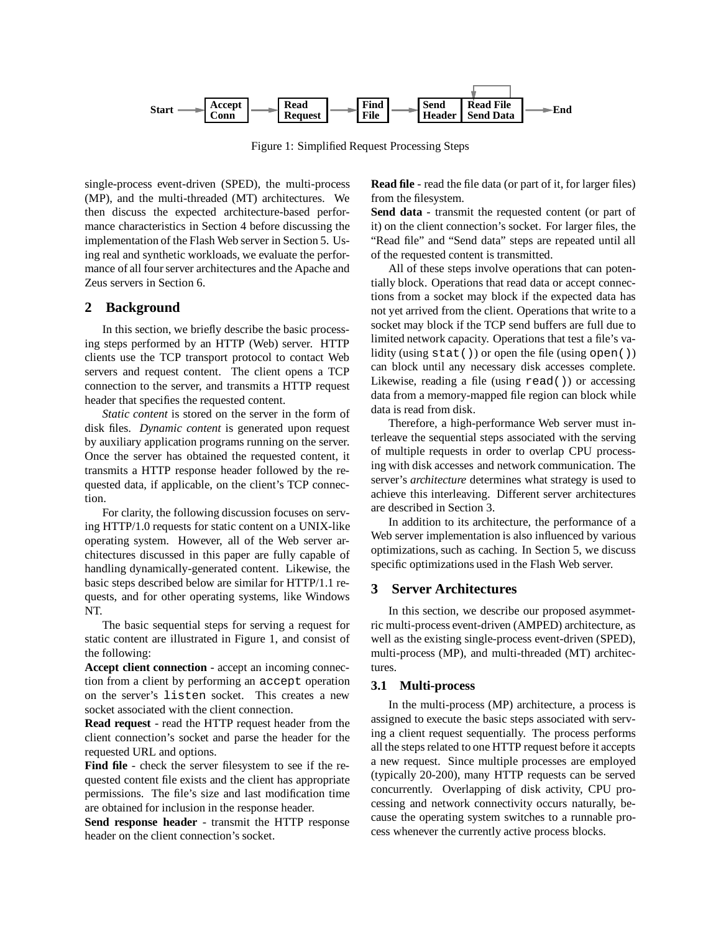

Figure 1: Simplified Request Processing Steps

single-process event-driven (SPED), the multi-process (MP), and the multi-threaded (MT) architectures. We then discuss the expected architecture-based performance characteristics in Section 4 before discussing the implementation of the Flash Web server in Section 5. Using real and synthetic workloads, we evaluate the performance of all four server architectures and the Apache and Zeus servers in Section 6.

## **2 Background**

In this section, we briefly describe the basic processing steps performed by an HTTP (Web) server. HTTP clients use the TCP transport protocol to contact Web servers and request content. The client opens a TCP connection to the server, and transmits a HTTP request header that specifies the requested content.

*Static content* is stored on the server in the form of disk files. *Dynamic content* is generated upon request by auxiliary application programs running on the server. Once the server has obtained the requested content, it transmits a HTTP response header followed by the requested data, if applicable, on the client's TCP connection.

For clarity, the following discussion focuses on serving HTTP/1.0 requests for static content on a UNIX-like operating system. However, all of the Web server architectures discussed in this paper are fully capable of handling dynamically-generated content. Likewise, the basic steps described below are similar for HTTP/1.1 requests, and for other operating systems, like Windows NT.

The basic sequential steps for serving a request for static content are illustrated in Figure 1, and consist of the following:

**Accept client connection** - accept an incoming connection from a client by performing an accept operation on the server's listen socket. This creates a new socket associated with the client connection.

**Read request** - read the HTTP request header from the client connection's socket and parse the header for the requested URL and options.

**Find file** - check the server filesystem to see if the requested content file exists and the client has appropriate permissions. The file's size and last modification time are obtained for inclusion in the response header.

**Send response header** - transmit the HTTP response header on the client connection's socket.

**Read file** - read the file data (or part of it, for larger files) from the filesystem.

**Send data** - transmit the requested content (or part of it) on the client connection's socket. For larger files, the "Read file" and "Send data" steps are repeated until all of the requested content is transmitted.

All of these steps involve operations that can potentially block. Operations that read data or accept connections from a socket may block if the expected data has not yet arrived from the client. Operations that write to a socket may block if the TCP send buffers are full due to limited network capacity. Operations that test a file's validity (using stat()) or open the file (using open()) can block until any necessary disk accesses complete. Likewise, reading a file (using read()) or accessing data from a memory-mapped file region can block while data is read from disk.

Therefore, a high-performance Web server must interleave the sequential steps associated with the serving of multiple requests in order to overlap CPU processing with disk accesses and network communication. The server's *architecture* determines what strategy is used to achieve this interleaving. Different server architectures are described in Section 3.

In addition to its architecture, the performance of a Web server implementation is also influenced by various optimizations, such as caching. In Section 5, we discuss specific optimizations used in the Flash Web server.

## **3 Server Architectures**

In this section, we describe our proposed asymmetric multi-process event-driven (AMPED) architecture, as well as the existing single-process event-driven (SPED), multi-process (MP), and multi-threaded (MT) architectures.

#### **3.1 Multi-process**

In the multi-process (MP) architecture, a process is assigned to execute the basic steps associated with serving a client request sequentially. The process performs all the steps related to one HTTP request before it accepts a new request. Since multiple processes are employed (typically 20-200), many HTTP requests can be served concurrently. Overlapping of disk activity, CPU processing and network connectivity occurs naturally, because the operating system switches to a runnable process whenever the currently active process blocks.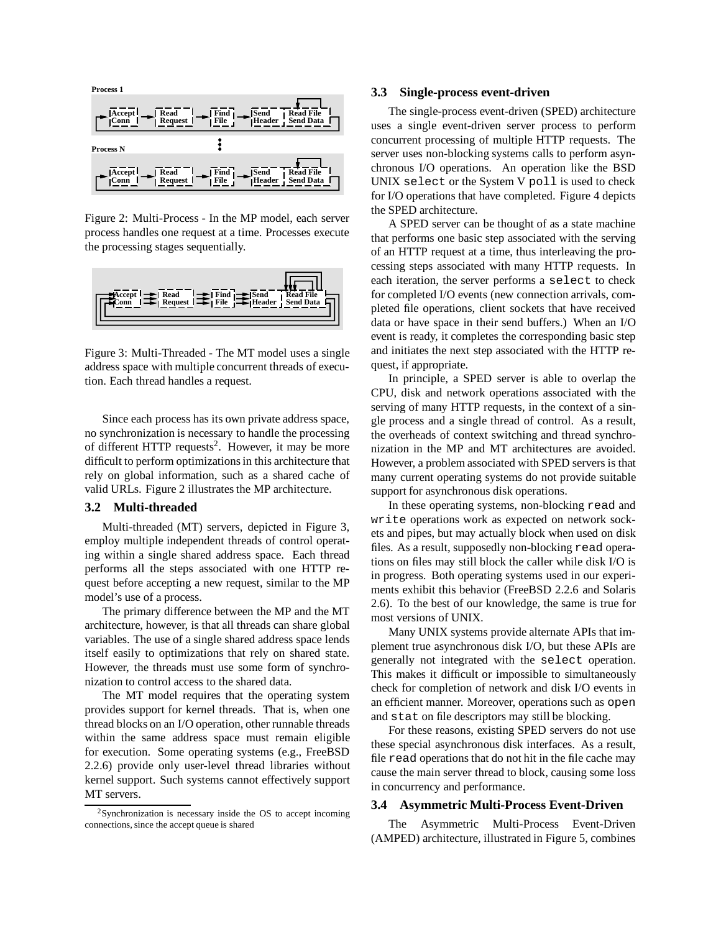

Figure 2: Multi-Process - In the MP model, each server process handles one request at a time. Processes execute the processing stages sequentially.



Figure 3: Multi-Threaded - The MT model uses a single address space with multiple concurrent threads of execution. Each thread handles a request.

Since each process has its own private address space, no synchronization is necessary to handle the processing of different HTTP requests<sup>2</sup>. However, it may be more difficult to perform optimizations in this architecture that rely on global information, such as a shared cache of valid URLs. Figure 2 illustrates the MP architecture.

#### **3.2 Multi-threaded**

Multi-threaded (MT) servers, depicted in Figure 3, employ multiple independent threads of control operating within a single shared address space. Each thread performs all the steps associated with one HTTP request before accepting a new request, similar to the MP model's use of a process.

The primary difference between the MP and the MT architecture, however, is that all threads can share global variables. The use of a single shared address space lends itself easily to optimizations that rely on shared state. However, the threads must use some form of synchronization to control access to the shared data.

The MT model requires that the operating system provides support for kernel threads. That is, when one thread blocks on an I/O operation, other runnable threads within the same address space must remain eligible for execution. Some operating systems (e.g., FreeBSD 2.2.6) provide only user-level thread libraries without kernel support. Such systems cannot effectively support MT servers.

#### **3.3 Single-process event-driven**

The single-process event-driven (SPED) architecture uses a single event-driven server process to perform concurrent processing of multiple HTTP requests. The server uses non-blocking systems calls to perform asynchronous I/O operations. An operation like the BSD UNIX select or the System V poll is used to check for I/O operations that have completed. Figure 4 depicts the SPED architecture.

A SPED server can be thought of as a state machine that performs one basic step associated with the serving of an HTTP request at a time, thus interleaving the processing steps associated with many HTTP requests. In each iteration, the server performs a select to check for completed I/O events (new connection arrivals, completed file operations, client sockets that have received data or have space in their send buffers.) When an I/O event is ready, it completes the corresponding basic step and initiates the next step associated with the HTTP request, if appropriate.

In principle, a SPED server is able to overlap the CPU, disk and network operations associated with the serving of many HTTP requests, in the context of a single process and a single thread of control. As a result, the overheads of context switching and thread synchronization in the MP and MT architectures are avoided. However, a problem associated with SPED servers is that many current operating systems do not provide suitable support for asynchronous disk operations.

In these operating systems, non-blocking read and write operations work as expected on network sockets and pipes, but may actually block when used on disk files. As a result, supposedly non-blocking read operations on files may still block the caller while disk I/O is in progress. Both operating systems used in our experiments exhibit this behavior (FreeBSD 2.2.6 and Solaris 2.6). To the best of our knowledge, the same is true for most versions of UNIX.

Many UNIX systems provide alternate APIs that implement true asynchronous disk I/O, but these APIs are generally not integrated with the select operation. This makes it difficult or impossible to simultaneously check for completion of network and disk I/O events in an efficient manner. Moreover, operations such as open and stat on file descriptors may still be blocking.

For these reasons, existing SPED servers do not use these special asynchronous disk interfaces. As a result, file read operations that do not hit in the file cache may cause the main server thread to block, causing some loss in concurrency and performance.

#### **3.4 Asymmetric Multi-Process Event-Driven**

The Asymmetric Multi-Process Event-Driven (AMPED) architecture, illustrated in Figure 5, combines

 $2$ Synchronization is necessary inside the OS to accept incoming connections, since the accept queue is shared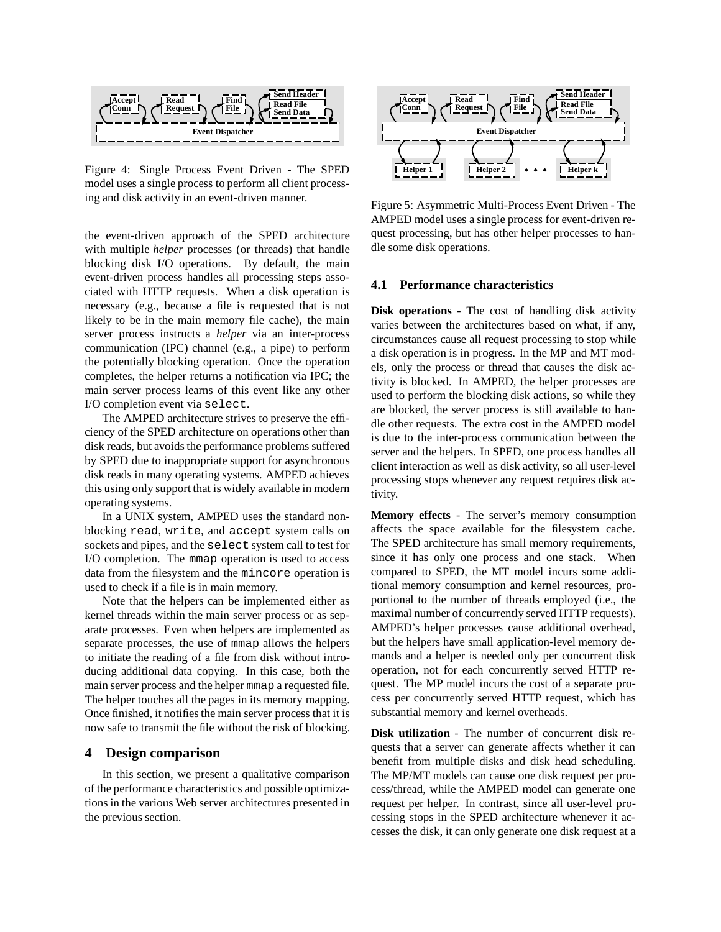

Figure 4: Single Process Event Driven - The SPED model uses a single process to perform all client processing and disk activity in an event-driven manner.

the event-driven approach of the SPED architecture with multiple *helper* processes (or threads) that handle blocking disk I/O operations. By default, the main event-driven process handles all processing steps associated with HTTP requests. When a disk operation is necessary (e.g., because a file is requested that is not likely to be in the main memory file cache), the main server process instructs a *helper* via an inter-process communication (IPC) channel (e.g., a pipe) to perform the potentially blocking operation. Once the operation completes, the helper returns a notification via IPC; the main server process learns of this event like any other I/O completion event via select.

The AMPED architecture strives to preserve the efficiency of the SPED architecture on operations other than disk reads, but avoids the performance problems suffered by SPED due to inappropriate support for asynchronous disk reads in many operating systems. AMPED achieves this using only support that is widely available in modern operating systems.

In a UNIX system, AMPED uses the standard nonblocking read, write, and accept system calls on sockets and pipes, and the select system call to test for I/O completion. The mmap operation is used to access data from the filesystem and the mincore operation is used to check if a file is in main memory.

Note that the helpers can be implemented either as kernel threads within the main server process or as separate processes. Even when helpers are implemented as separate processes, the use of mmap allows the helpers to initiate the reading of a file from disk without introducing additional data copying. In this case, both the main server process and the helper mmap a requested file. The helper touches all the pages in its memory mapping. Once finished, it notifies the main server process that it is now safe to transmit the file without the risk of blocking.

## **4 Design comparison**

In this section, we present a qualitative comparison of the performance characteristics and possible optimizations in the various Web server architectures presented in the previous section.



Figure 5: Asymmetric Multi-Process Event Driven - The AMPED model uses a single process for event-driven request processing, but has other helper processes to handle some disk operations.

#### **4.1 Performance characteristics**

**Disk operations** - The cost of handling disk activity varies between the architectures based on what, if any, circumstances cause all request processing to stop while a disk operation is in progress. In the MP and MT models, only the process or thread that causes the disk activity is blocked. In AMPED, the helper processes are used to perform the blocking disk actions, so while they are blocked, the server process is still available to handle other requests. The extra cost in the AMPED model is due to the inter-process communication between the server and the helpers. In SPED, one process handles all client interaction as well as disk activity, so all user-level processing stops whenever any request requires disk activity.

**Memory effects** - The server's memory consumption affects the space available for the filesystem cache. The SPED architecture has small memory requirements, since it has only one process and one stack. When compared to SPED, the MT model incurs some additional memory consumption and kernel resources, proportional to the number of threads employed (i.e., the maximal number of concurrently served HTTP requests). AMPED's helper processes cause additional overhead, but the helpers have small application-level memory demands and a helper is needed only per concurrent disk operation, not for each concurrently served HTTP request. The MP model incurs the cost of a separate process per concurrently served HTTP request, which has substantial memory and kernel overheads.

**Disk utilization** - The number of concurrent disk requests that a server can generate affects whether it can benefit from multiple disks and disk head scheduling. The MP/MT models can cause one disk request per process/thread, while the AMPED model can generate one request per helper. In contrast, since all user-level processing stops in the SPED architecture whenever it accesses the disk, it can only generate one disk request at a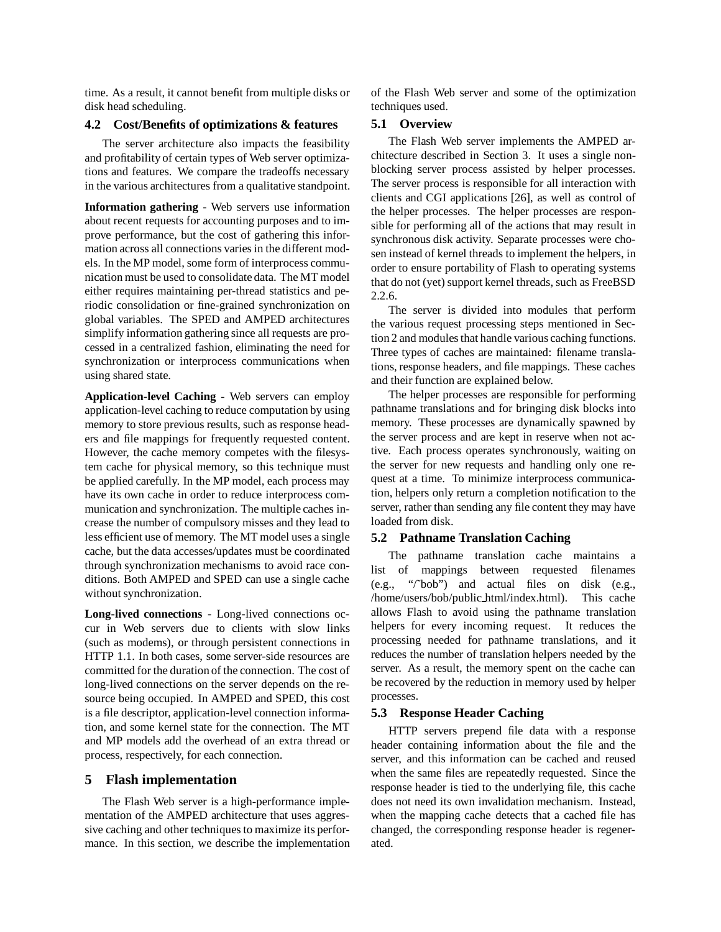time. As a result, it cannot benefit from multiple disks or disk head scheduling.

## **4.2 Cost/Benefits of optimizations & features**

The server architecture also impacts the feasibility and profitability of certain types of Web server optimizations and features. We compare the tradeoffs necessary in the various architectures from a qualitative standpoint.

**Information gathering** - Web servers use information about recent requests for accounting purposes and to improve performance, but the cost of gathering this information across all connections varies in the different models. In the MP model, some form of interprocess communication must be used to consolidate data. The MT model either requires maintaining per-thread statistics and periodic consolidation or fine-grained synchronization on global variables. The SPED and AMPED architectures simplify information gathering since all requests are processed in a centralized fashion, eliminating the need for synchronization or interprocess communications when using shared state.

**Application-level Caching** - Web servers can employ application-level caching to reduce computation by using memory to store previous results, such as response headers and file mappings for frequently requested content. However, the cache memory competes with the filesystem cache for physical memory, so this technique must be applied carefully. In the MP model, each process may have its own cache in order to reduce interprocess communication and synchronization. The multiple caches increase the number of compulsory misses and they lead to less efficient use of memory. The MT model uses a single cache, but the data accesses/updates must be coordinated through synchronization mechanisms to avoid race conditions. Both AMPED and SPED can use a single cache without synchronization.

**Long-lived connections** - Long-lived connections occur in Web servers due to clients with slow links (such as modems), or through persistent connections in HTTP 1.1. In both cases, some server-side resources are committed for the duration of the connection. The cost of long-lived connections on the server depends on the resource being occupied. In AMPED and SPED, this cost is a file descriptor, application-level connection information, and some kernel state for the connection. The MT and MP models add the overhead of an extra thread or process, respectively, for each connection.

#### **5 Flash implementation**

The Flash Web server is a high-performance implementation of the AMPED architecture that uses aggressive caching and other techniques to maximize its performance. In this section, we describe the implementation of the Flash Web server and some of the optimization techniques used.

## **5.1 Overview**

The Flash Web server implements the AMPED architecture described in Section 3. It uses a single nonblocking server process assisted by helper processes. The server process is responsible for all interaction with clients and CGI applications [26], as well as control of the helper processes. The helper processes are responsible for performing all of the actions that may result in synchronous disk activity. Separate processes were chosen instead of kernel threads to implement the helpers, in order to ensure portability of Flash to operating systems that do not (yet) support kernel threads, such as FreeBSD 2.2.6.

The server is divided into modules that perform the various request processing steps mentioned in Section 2 and modules that handle various caching functions. Three types of caches are maintained: filename translations, response headers, and file mappings. These caches and their function are explained below.

The helper processes are responsible for performing pathname translations and for bringing disk blocks into memory. These processes are dynamically spawned by the server process and are kept in reserve when not active. Each process operates synchronously, waiting on the server for new requests and handling only one request at a time. To minimize interprocess communication, helpers only return a completion notification to the server, rather than sending any file content they may have loaded from disk.

#### **5.2 Pathname Translation Caching**

The pathname translation cache maintains a list of mappings between requested filenames (e.g., "/˜bob") and actual files on disk (e.g., /home/users/bob/public html/index.html). This cache allows Flash to avoid using the pathname translation helpers for every incoming request. It reduces the processing needed for pathname translations, and it reduces the number of translation helpers needed by the server. As a result, the memory spent on the cache can be recovered by the reduction in memory used by helper processes.

## **5.3 Response Header Caching**

HTTP servers prepend file data with a response header containing information about the file and the server, and this information can be cached and reused when the same files are repeatedly requested. Since the response header is tied to the underlying file, this cache does not need its own invalidation mechanism. Instead, when the mapping cache detects that a cached file has changed, the corresponding response header is regenerated.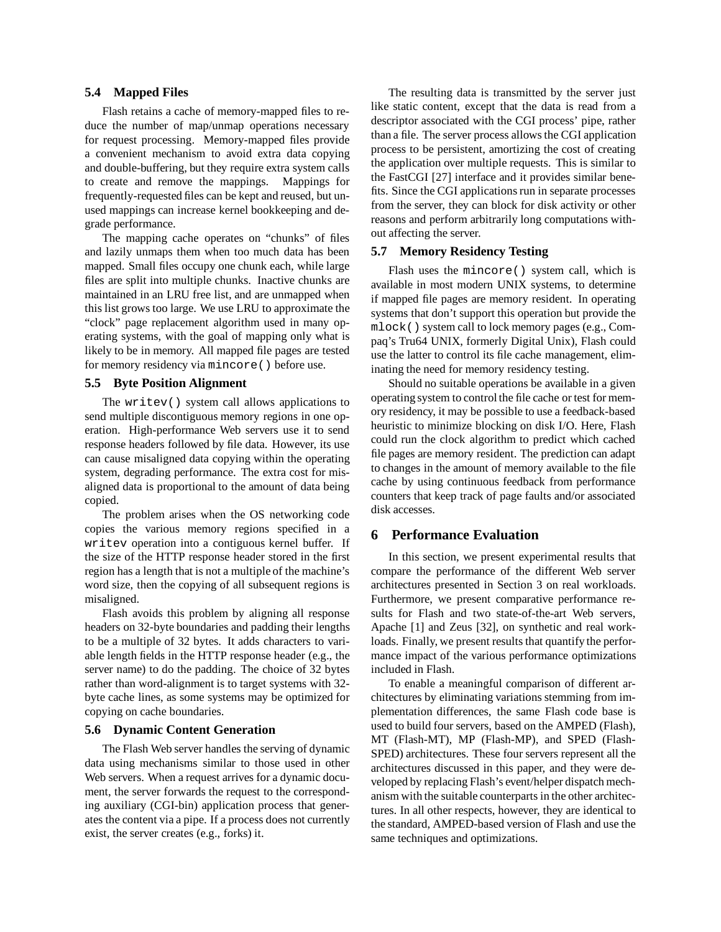#### **5.4 Mapped Files**

Flash retains a cache of memory-mapped files to reduce the number of map/unmap operations necessary for request processing. Memory-mapped files provide a convenient mechanism to avoid extra data copying and double-buffering, but they require extra system calls to create and remove the mappings. Mappings for frequently-requested files can be kept and reused, but unused mappings can increase kernel bookkeeping and degrade performance.

The mapping cache operates on "chunks" of files and lazily unmaps them when too much data has been mapped. Small files occupy one chunk each, while large files are split into multiple chunks. Inactive chunks are maintained in an LRU free list, and are unmapped when this list grows too large. We use LRU to approximate the "clock" page replacement algorithm used in many operating systems, with the goal of mapping only what is likely to be in memory. All mapped file pages are tested for memory residency via mincore() before use.

### **5.5 Byte Position Alignment**

The writev() system call allows applications to send multiple discontiguous memory regions in one operation. High-performance Web servers use it to send response headers followed by file data. However, its use can cause misaligned data copying within the operating system, degrading performance. The extra cost for misaligned data is proportional to the amount of data being copied.

The problem arises when the OS networking code copies the various memory regions specified in a writev operation into a contiguous kernel buffer. If the size of the HTTP response header stored in the first region has a length that is not a multiple of the machine's word size, then the copying of all subsequent regions is misaligned.

Flash avoids this problem by aligning all response headers on 32-byte boundaries and padding their lengths to be a multiple of 32 bytes. It adds characters to variable length fields in the HTTP response header (e.g., the server name) to do the padding. The choice of 32 bytes rather than word-alignment is to target systems with 32 byte cache lines, as some systems may be optimized for copying on cache boundaries.

#### **5.6 Dynamic Content Generation**

The Flash Web server handles the serving of dynamic data using mechanisms similar to those used in other Web servers. When a request arrives for a dynamic document, the server forwards the request to the corresponding auxiliary (CGI-bin) application process that generates the content via a pipe. If a process does not currently exist, the server creates (e.g., forks) it.

The resulting data is transmitted by the server just like static content, except that the data is read from a descriptor associated with the CGI process' pipe, rather than a file. The server process allows the CGI application process to be persistent, amortizing the cost of creating the application over multiple requests. This is similar to the FastCGI [27] interface and it provides similar benefits. Since the CGI applications run in separate processes from the server, they can block for disk activity or other reasons and perform arbitrarily long computations without affecting the server.

#### **5.7 Memory Residency Testing**

Flash uses the mincore() system call, which is available in most modern UNIX systems, to determine if mapped file pages are memory resident. In operating systems that don't support this operation but provide the mlock() system call to lock memory pages (e.g., Compaq's Tru64 UNIX, formerly Digital Unix), Flash could use the latter to control its file cache management, eliminating the need for memory residency testing.

Should no suitable operations be available in a given operating system to control the file cache or test for memory residency, it may be possible to use a feedback-based heuristic to minimize blocking on disk I/O. Here, Flash could run the clock algorithm to predict which cached file pages are memory resident. The prediction can adapt to changes in the amount of memory available to the file cache by using continuous feedback from performance counters that keep track of page faults and/or associated disk accesses.

### **6 Performance Evaluation**

In this section, we present experimental results that compare the performance of the different Web server architectures presented in Section 3 on real workloads. Furthermore, we present comparative performance results for Flash and two state-of-the-art Web servers, Apache [1] and Zeus [32], on synthetic and real workloads. Finally, we present results that quantify the performance impact of the various performance optimizations included in Flash.

To enable a meaningful comparison of different architectures by eliminating variations stemming from implementation differences, the same Flash code base is used to build four servers, based on the AMPED (Flash), MT (Flash-MT), MP (Flash-MP), and SPED (Flash-SPED) architectures. These four servers represent all the architectures discussed in this paper, and they were developed by replacing Flash's event/helper dispatch mechanism with the suitable counterparts in the other architectures. In all other respects, however, they are identical to the standard, AMPED-based version of Flash and use the same techniques and optimizations.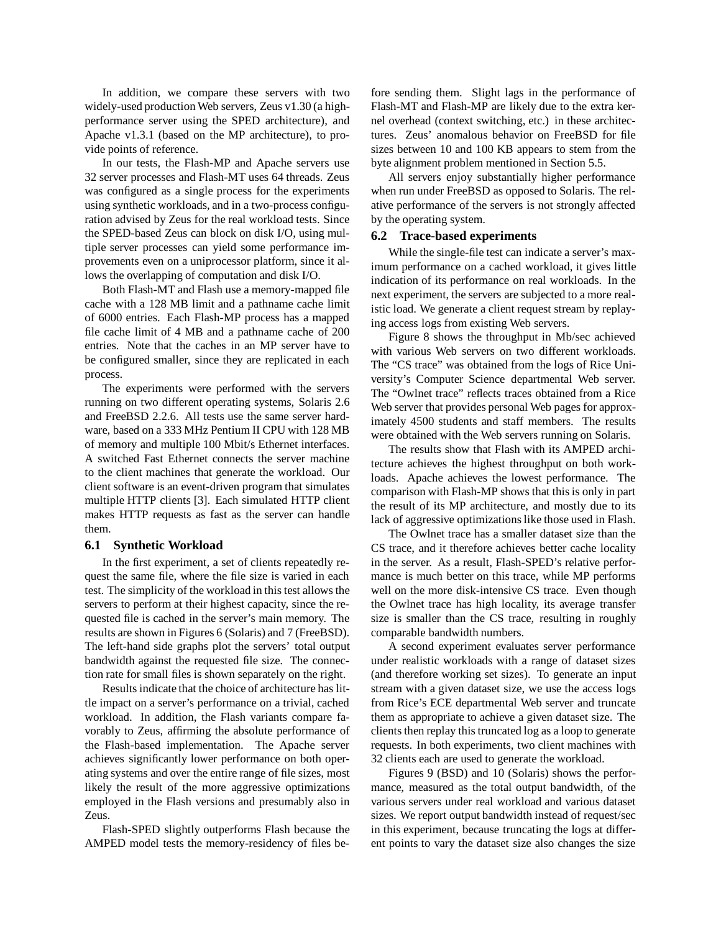In addition, we compare these servers with two widely-used production Web servers, Zeus v1.30 (a highperformance server using the SPED architecture), and Apache v1.3.1 (based on the MP architecture), to provide points of reference.

In our tests, the Flash-MP and Apache servers use 32 server processes and Flash-MT uses 64 threads. Zeus was configured as a single process for the experiments using synthetic workloads, and in a two-process configuration advised by Zeus for the real workload tests. Since the SPED-based Zeus can block on disk I/O, using multiple server processes can yield some performance improvements even on a uniprocessor platform, since it allows the overlapping of computation and disk I/O.

Both Flash-MT and Flash use a memory-mapped file cache with a 128 MB limit and a pathname cache limit of 6000 entries. Each Flash-MP process has a mapped file cache limit of 4 MB and a pathname cache of 200 entries. Note that the caches in an MP server have to be configured smaller, since they are replicated in each process.

The experiments were performed with the servers running on two different operating systems, Solaris 2.6 and FreeBSD 2.2.6. All tests use the same server hardware, based on a 333 MHz Pentium II CPU with 128 MB of memory and multiple 100 Mbit/s Ethernet interfaces. A switched Fast Ethernet connects the server machine to the client machines that generate the workload. Our client software is an event-driven program that simulates multiple HTTP clients [3]. Each simulated HTTP client makes HTTP requests as fast as the server can handle them.

#### **6.1 Synthetic Workload**

In the first experiment, a set of clients repeatedly request the same file, where the file size is varied in each test. The simplicity of the workload in this test allows the servers to perform at their highest capacity, since the requested file is cached in the server's main memory. The results are shown in Figures 6 (Solaris) and 7 (FreeBSD). The left-hand side graphs plot the servers' total output bandwidth against the requested file size. The connection rate for small files is shown separately on the right.

Results indicate that the choice of architecture has little impact on a server's performance on a trivial, cached workload. In addition, the Flash variants compare favorably to Zeus, affirming the absolute performance of the Flash-based implementation. The Apache server achieves significantly lower performance on both operating systems and over the entire range of file sizes, most likely the result of the more aggressive optimizations employed in the Flash versions and presumably also in Zeus.

Flash-SPED slightly outperforms Flash because the AMPED model tests the memory-residency of files before sending them. Slight lags in the performance of Flash-MT and Flash-MP are likely due to the extra kernel overhead (context switching, etc.) in these architectures. Zeus' anomalous behavior on FreeBSD for file sizes between 10 and 100 KB appears to stem from the byte alignment problem mentioned in Section 5.5.

All servers enjoy substantially higher performance when run under FreeBSD as opposed to Solaris. The relative performance of the servers is not strongly affected by the operating system.

#### **6.2 Trace-based experiments**

While the single-file test can indicate a server's maximum performance on a cached workload, it gives little indication of its performance on real workloads. In the next experiment, the servers are subjected to a more realistic load. We generate a client request stream by replaying access logs from existing Web servers.

Figure 8 shows the throughput in Mb/sec achieved with various Web servers on two different workloads. The "CS trace" was obtained from the logs of Rice University's Computer Science departmental Web server. The "Owlnet trace" reflects traces obtained from a Rice Web server that provides personal Web pages for approximately 4500 students and staff members. The results were obtained with the Web servers running on Solaris.

The results show that Flash with its AMPED architecture achieves the highest throughput on both workloads. Apache achieves the lowest performance. The comparison with Flash-MP shows that this is only in part the result of its MP architecture, and mostly due to its lack of aggressive optimizations like those used in Flash.

The Owlnet trace has a smaller dataset size than the CS trace, and it therefore achieves better cache locality in the server. As a result, Flash-SPED's relative performance is much better on this trace, while MP performs well on the more disk-intensive CS trace. Even though the Owlnet trace has high locality, its average transfer size is smaller than the CS trace, resulting in roughly comparable bandwidth numbers.

A second experiment evaluates server performance under realistic workloads with a range of dataset sizes (and therefore working set sizes). To generate an input stream with a given dataset size, we use the access logs from Rice's ECE departmental Web server and truncate them as appropriate to achieve a given dataset size. The clients then replay this truncated log as a loop to generate requests. In both experiments, two client machines with 32 clients each are used to generate the workload.

Figures 9 (BSD) and 10 (Solaris) shows the performance, measured as the total output bandwidth, of the various servers under real workload and various dataset sizes. We report output bandwidth instead of request/sec in this experiment, because truncating the logs at different points to vary the dataset size also changes the size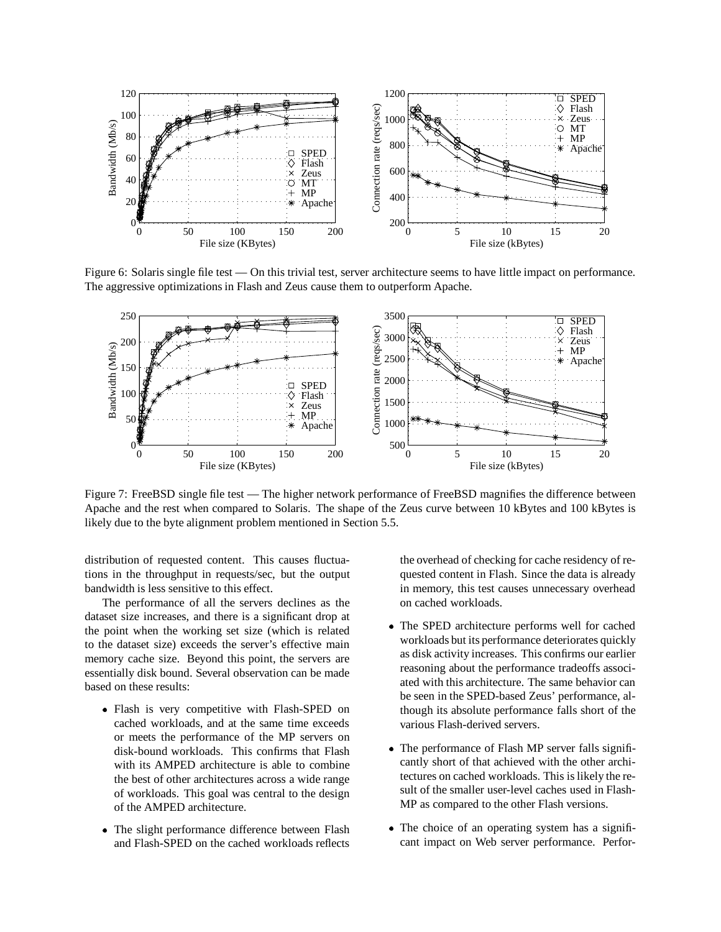

Figure 6: Solaris single file test — On this trivial test, server architecture seems to have little impact on performance. The aggressive optimizations in Flash and Zeus cause them to outperform Apache.



Figure 7: FreeBSD single file test — The higher network performance of FreeBSD magnifies the difference between Apache and the rest when compared to Solaris. The shape of the Zeus curve between 10 kBytes and 100 kBytes is likely due to the byte alignment problem mentioned in Section 5.5.

distribution of requested content. This causes fluctuations in the throughput in requests/sec, but the output bandwidth is less sensitive to this effect.

The performance of all the servers declines as the dataset size increases, and there is a significant drop at the point when the working set size (which is related to the dataset size) exceeds the server's effective main memory cache size. Beyond this point, the servers are essentially disk bound. Several observation can be made based on these results:

- Flash is very competitive with Flash-SPED on cached workloads, and at the same time exceeds or meets the performance of the MP servers on disk-bound workloads. This confirms that Flash with its AMPED architecture is able to combine the best of other architectures across a wide range of workloads. This goal was central to the design of the AMPED architecture.
- The slight performance difference between Flash and Flash-SPED on the cached workloads reflects

the overhead of checking for cache residency of requested content in Flash. Since the data is already in memory, this test causes unnecessary overhead on cached workloads.

- The SPED architecture performs well for cached workloads but its performance deteriorates quickly as disk activity increases. This confirms our earlier reasoning about the performance tradeoffs associated with this architecture. The same behavior can be seen in the SPED-based Zeus' performance, although its absolute performance falls short of the various Flash-derived servers.
- The performance of Flash MP server falls significantly short of that achieved with the other architectures on cached workloads. This is likely the result of the smaller user-level caches used in Flash-MP as compared to the other Flash versions.
- The choice of an operating system has a significant impact on Web server performance. Perfor-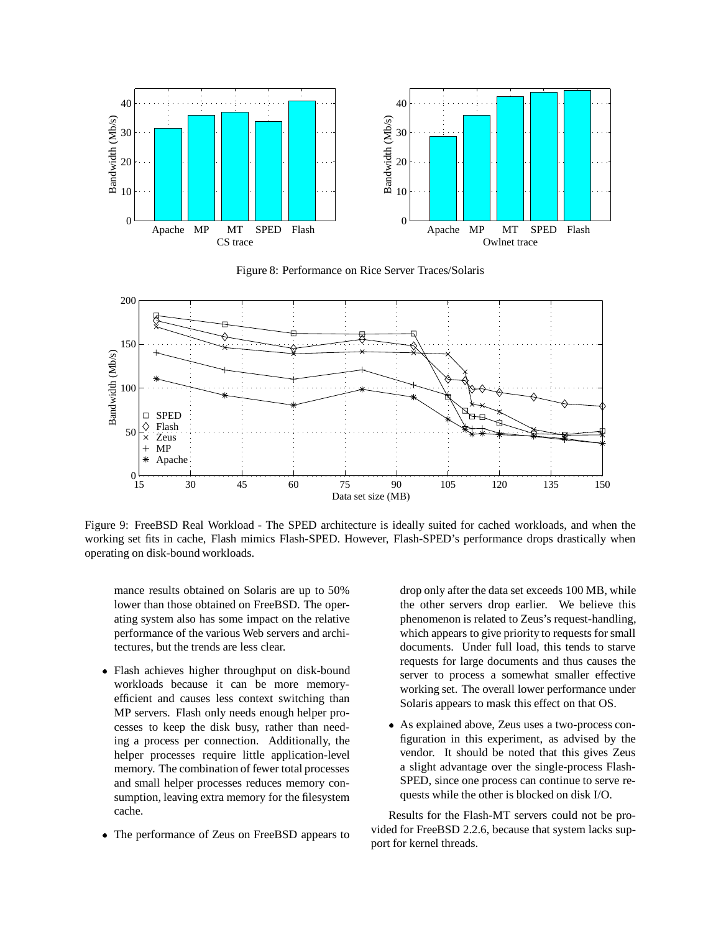

Figure 8: Performance on Rice Server Traces/Solaris



Figure 9: FreeBSD Real Workload - The SPED architecture is ideally suited for cached workloads, and when the working set fits in cache, Flash mimics Flash-SPED. However, Flash-SPED's performance drops drastically when operating on disk-bound workloads.

mance results obtained on Solaris are up to 50% lower than those obtained on FreeBSD. The operating system also has some impact on the relative performance of the various Web servers and architectures, but the trends are less clear.

- Flash achieves higher throughput on disk-bound workloads because it can be more memoryefficient and causes less context switching than MP servers. Flash only needs enough helper processes to keep the disk busy, rather than needing a process per connection. Additionally, the helper processes require little application-level memory. The combination of fewer total processes and small helper processes reduces memory consumption, leaving extra memory for the filesystem cache.
- The performance of Zeus on FreeBSD appears to

drop only after the data set exceeds 100 MB, while the other servers drop earlier. We believe this phenomenon is related to Zeus's request-handling, which appears to give priority to requests for small documents. Under full load, this tends to starve requests for large documents and thus causes the server to process a somewhat smaller effective working set. The overall lower performance under Solaris appears to mask this effect on that OS.

 As explained above, Zeus uses a two-process configuration in this experiment, as advised by the vendor. It should be noted that this gives Zeus a slight advantage over the single-process Flash-SPED, since one process can continue to serve requests while the other is blocked on disk I/O.

Results for the Flash-MT servers could not be provided for FreeBSD 2.2.6, because that system lacks support for kernel threads.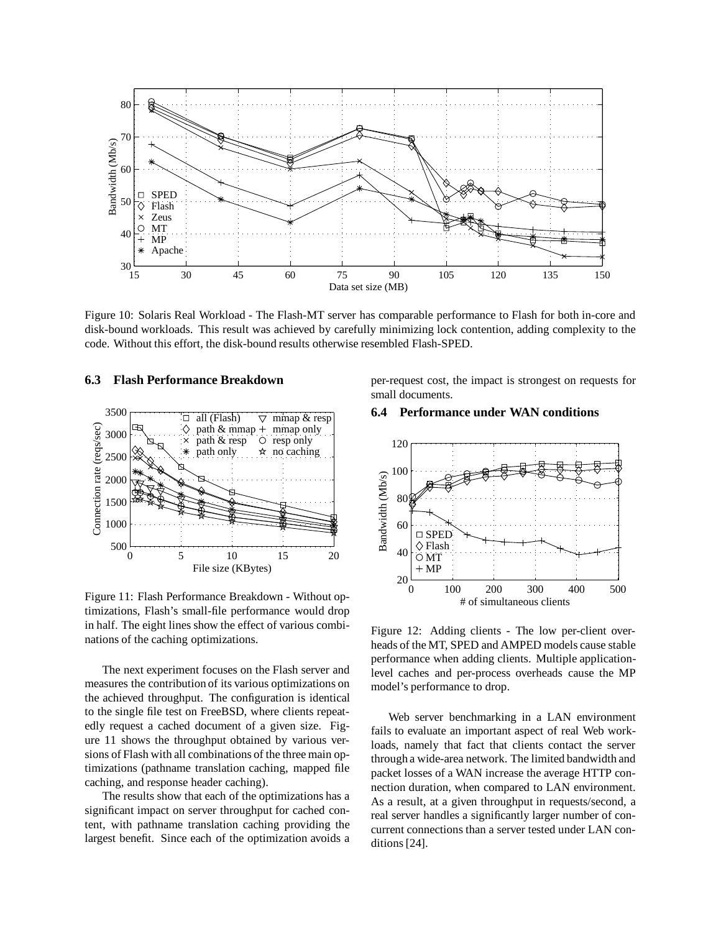

Figure 10: Solaris Real Workload - The Flash-MT server has comparable performance to Flash for both in-core and disk-bound workloads. This result was achieved by carefully minimizing lock contention, adding complexity to the code. Without this effort, the disk-bound results otherwise resembled Flash-SPED.

#### **6.3 Flash Performance Breakdown**



Figure 11: Flash Performance Breakdown - Without optimizations, Flash's small-file performance would drop in half. The eight lines show the effect of various combinations of the caching optimizations.

The next experiment focuses on the Flash server and measures the contribution of its various optimizations on the achieved throughput. The configuration is identical to the single file test on FreeBSD, where clients repeatedly request a cached document of a given size. Figure 11 shows the throughput obtained by various versions of Flash with all combinations of the three main optimizations (pathname translation caching, mapped file caching, and response header caching).

The results show that each of the optimizations has a significant impact on server throughput for cached content, with pathname translation caching providing the largest benefit. Since each of the optimization avoids a per-request cost, the impact is strongest on requests for small documents.

#### **6.4 Performance under WAN conditions**



Figure 12: Adding clients - The low per-client overheads of the MT, SPED and AMPED models cause stable performance when adding clients. Multiple applicationlevel caches and per-process overheads cause the MP model's performance to drop.

Web server benchmarking in a LAN environment fails to evaluate an important aspect of real Web workloads, namely that fact that clients contact the server through a wide-area network. The limited bandwidth and packet losses of a WAN increase the average HTTP connection duration, when compared to LAN environment. As a result, at a given throughput in requests/second, a real server handles a significantly larger number of concurrent connections than a server tested under LAN conditions [24].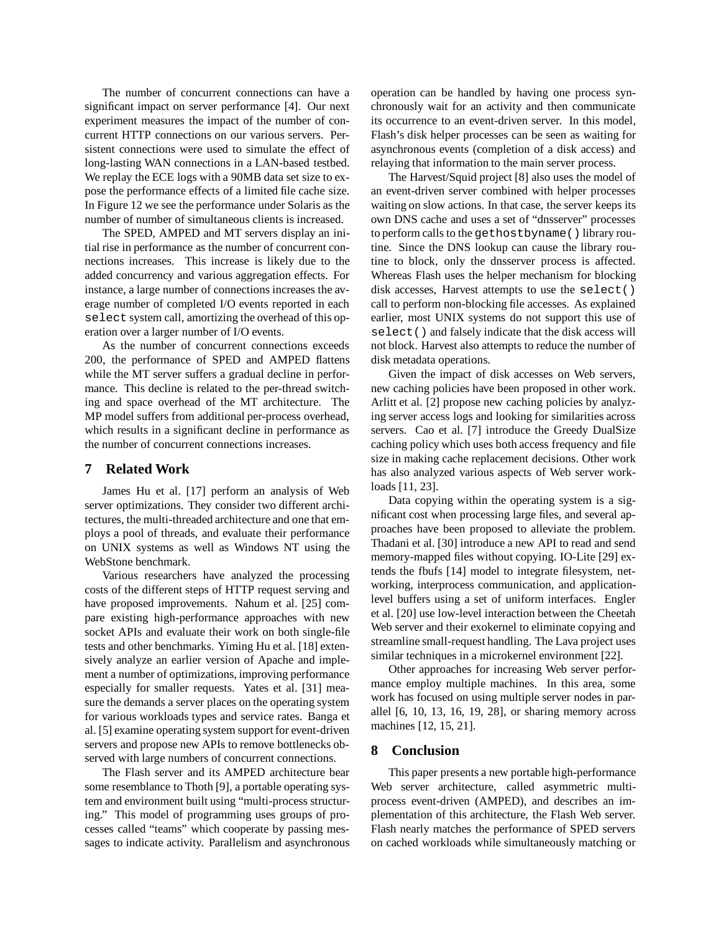The number of concurrent connections can have a significant impact on server performance [4]. Our next experiment measures the impact of the number of concurrent HTTP connections on our various servers. Persistent connections were used to simulate the effect of long-lasting WAN connections in a LAN-based testbed. We replay the ECE logs with a 90MB data set size to expose the performance effects of a limited file cache size. In Figure 12 we see the performance under Solaris as the number of number of simultaneous clients is increased.

The SPED, AMPED and MT servers display an initial rise in performance as the number of concurrent connections increases. This increase is likely due to the added concurrency and various aggregation effects. For instance, a large number of connections increases the average number of completed I/O events reported in each select system call, amortizing the overhead of this operation over a larger number of I/O events.

As the number of concurrent connections exceeds 200, the performance of SPED and AMPED flattens while the MT server suffers a gradual decline in performance. This decline is related to the per-thread switching and space overhead of the MT architecture. The MP model suffers from additional per-process overhead, which results in a significant decline in performance as the number of concurrent connections increases.

## **7 Related Work**

James Hu et al. [17] perform an analysis of Web server optimizations. They consider two different architectures, the multi-threaded architecture and one that employs a pool of threads, and evaluate their performance on UNIX systems as well as Windows NT using the WebStone benchmark.

Various researchers have analyzed the processing costs of the different steps of HTTP request serving and have proposed improvements. Nahum et al. [25] compare existing high-performance approaches with new socket APIs and evaluate their work on both single-file tests and other benchmarks. Yiming Hu et al. [18] extensively analyze an earlier version of Apache and implement a number of optimizations, improving performance especially for smaller requests. Yates et al. [31] measure the demands a server places on the operating system for various workloads types and service rates. Banga et al. [5] examine operating system support for event-driven servers and propose new APIs to remove bottlenecks observed with large numbers of concurrent connections.

The Flash server and its AMPED architecture bear some resemblance to Thoth [9], a portable operating system and environment built using "multi-process structuring." This model of programming uses groups of processes called "teams" which cooperate by passing messages to indicate activity. Parallelism and asynchronous operation can be handled by having one process synchronously wait for an activity and then communicate its occurrence to an event-driven server. In this model, Flash's disk helper processes can be seen as waiting for asynchronous events (completion of a disk access) and relaying that information to the main server process.

The Harvest/Squid project [8] also uses the model of an event-driven server combined with helper processes waiting on slow actions. In that case, the server keeps its own DNS cache and uses a set of "dnsserver" processes to perform calls to the gethostbyname() library routine. Since the DNS lookup can cause the library routine to block, only the dnsserver process is affected. Whereas Flash uses the helper mechanism for blocking disk accesses, Harvest attempts to use the select() call to perform non-blocking file accesses. As explained earlier, most UNIX systems do not support this use of select() and falsely indicate that the disk access will not block. Harvest also attempts to reduce the number of disk metadata operations.

Given the impact of disk accesses on Web servers, new caching policies have been proposed in other work. Arlitt et al. [2] propose new caching policies by analyzing server access logs and looking for similarities across servers. Cao et al. [7] introduce the Greedy DualSize caching policy which uses both access frequency and file size in making cache replacement decisions. Other work has also analyzed various aspects of Web server workloads [11, 23].

Data copying within the operating system is a significant cost when processing large files, and several approaches have been proposed to alleviate the problem. Thadani et al. [30] introduce a new API to read and send memory-mapped files without copying. IO-Lite [29] extends the fbufs [14] model to integrate filesystem, networking, interprocess communication, and applicationlevel buffers using a set of uniform interfaces. Engler et al. [20] use low-level interaction between the Cheetah Web server and their exokernel to eliminate copying and streamline small-request handling. The Lava project uses similar techniques in a microkernel environment [22].

Other approaches for increasing Web server performance employ multiple machines. In this area, some work has focused on using multiple server nodes in parallel [6, 10, 13, 16, 19, 28], or sharing memory across machines [12, 15, 21].

#### **8 Conclusion**

This paper presents a new portable high-performance Web server architecture, called asymmetric multiprocess event-driven (AMPED), and describes an implementation of this architecture, the Flash Web server. Flash nearly matches the performance of SPED servers on cached workloads while simultaneously matching or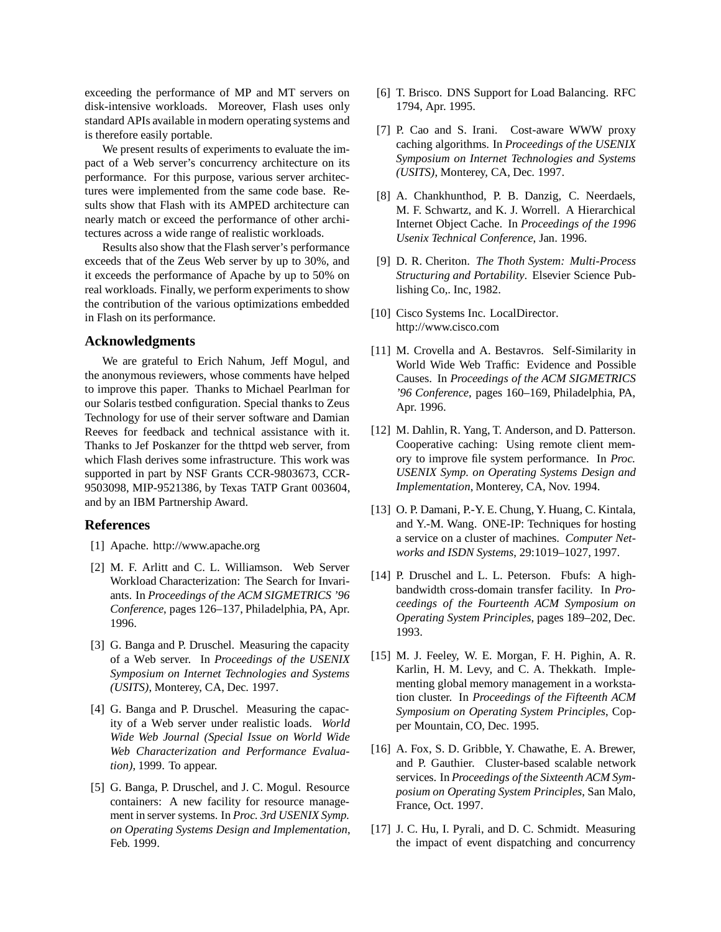exceeding the performance of MP and MT servers on disk-intensive workloads. Moreover, Flash uses only standard APIs available in modern operating systems and is therefore easily portable.

We present results of experiments to evaluate the impact of a Web server's concurrency architecture on its performance. For this purpose, various server architectures were implemented from the same code base. Results show that Flash with its AMPED architecture can nearly match or exceed the performance of other architectures across a wide range of realistic workloads.

Results also show that the Flash server's performance exceeds that of the Zeus Web server by up to 30%, and it exceeds the performance of Apache by up to 50% on real workloads. Finally, we perform experiments to show the contribution of the various optimizations embedded in Flash on its performance.

#### **Acknowledgments**

We are grateful to Erich Nahum, Jeff Mogul, and the anonymous reviewers, whose comments have helped to improve this paper. Thanks to Michael Pearlman for our Solaris testbed configuration. Special thanks to Zeus Technology for use of their server software and Damian Reeves for feedback and technical assistance with it. Thanks to Jef Poskanzer for the thttpd web server, from which Flash derives some infrastructure. This work was supported in part by NSF Grants CCR-9803673, CCR-9503098, MIP-9521386, by Texas TATP Grant 003604, and by an IBM Partnership Award.

## **References**

- [1] Apache. http://www.apache.org
- [2] M. F. Arlitt and C. L. Williamson. Web Server Workload Characterization: The Search for Invariants. In *Proceedings of the ACM SIGMETRICS '96 Conference*, pages 126–137, Philadelphia, PA, Apr. 1996.
- [3] G. Banga and P. Druschel. Measuring the capacity of a Web server. In *Proceedings of the USENIX Symposium on Internet Technologies and Systems (USITS)*, Monterey, CA, Dec. 1997.
- [4] G. Banga and P. Druschel. Measuring the capacity of a Web server under realistic loads. *World Wide Web Journal (Special Issue on World Wide Web Characterization and Performance Evaluation)*, 1999. To appear.
- [5] G. Banga, P. Druschel, and J. C. Mogul. Resource containers: A new facility for resource management in server systems. In *Proc. 3rd USENIX Symp. on Operating Systems Design and Implementation*, Feb. 1999.
- [6] T. Brisco. DNS Support for Load Balancing. RFC 1794, Apr. 1995.
- [7] P. Cao and S. Irani. Cost-aware WWW proxy caching algorithms. In *Proceedings of the USENIX Symposium on Internet Technologies and Systems (USITS)*, Monterey, CA, Dec. 1997.
- [8] A. Chankhunthod, P. B. Danzig, C. Neerdaels, M. F. Schwartz, and K. J. Worrell. A Hierarchical Internet Object Cache. In *Proceedings of the 1996 Usenix Technical Conference*, Jan. 1996.
- [9] D. R. Cheriton. *The Thoth System: Multi-Process Structuring and Portability*. Elsevier Science Publishing Co,. Inc, 1982.
- [10] Cisco Systems Inc. LocalDirector. http://www.cisco.com
- [11] M. Crovella and A. Bestavros. Self-Similarity in World Wide Web Traffic: Evidence and Possible Causes. In *Proceedings of the ACM SIGMETRICS '96 Conference*, pages 160–169, Philadelphia, PA, Apr. 1996.
- [12] M. Dahlin, R. Yang, T. Anderson, and D. Patterson. Cooperative caching: Using remote client memory to improve file system performance. In *Proc. USENIX Symp. on Operating Systems Design and Implementation*, Monterey, CA, Nov. 1994.
- [13] O. P. Damani, P.-Y. E. Chung, Y. Huang, C. Kintala, and Y.-M. Wang. ONE-IP: Techniques for hosting a service on a cluster of machines. *Computer Networks and ISDN Systems*, 29:1019–1027, 1997.
- [14] P. Druschel and L. L. Peterson. Fbufs: A highbandwidth cross-domain transfer facility. In *Proceedings of the Fourteenth ACM Symposium on Operating System Principles*, pages 189–202, Dec. 1993.
- [15] M. J. Feeley, W. E. Morgan, F. H. Pighin, A. R. Karlin, H. M. Levy, and C. A. Thekkath. Implementing global memory management in a workstation cluster. In *Proceedings of the Fifteenth ACM Symposium on Operating System Principles*, Copper Mountain, CO, Dec. 1995.
- [16] A. Fox, S. D. Gribble, Y. Chawathe, E. A. Brewer, and P. Gauthier. Cluster-based scalable network services. In *Proceedings of the Sixteenth ACM Symposium on Operating System Principles*, San Malo, France, Oct. 1997.
- [17] J. C. Hu, I. Pyrali, and D. C. Schmidt. Measuring the impact of event dispatching and concurrency